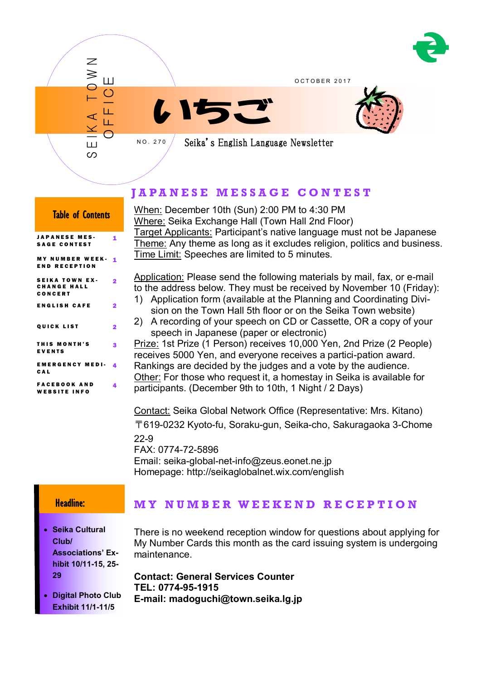

OCTOBER 2017





Seika's English Language Newsletter

## **J A P A N E S E M E S S A G E C O N T E S T**

When: December 10th (Sun) 2:00 PM to 4:30 PM Where: Seika Exchange Hall (Town Hall 2nd Floor) Target Applicants: Participant's native language must not be Japanese Theme: Any theme as long as it excludes religion, politics and business. Time Limit: Speeches are limited to 5 minutes.

Application: Please send the following materials by mail, fax, or e-mail to the address below. They must be received by November 10 (Friday):

- 1) Application form (available at the Planning and Coordinating Division on the Town Hall 5th floor or on the Seika Town website)
- 2) A recording of your speech on CD or Cassette, OR a copy of your speech in Japanese (paper or electronic)

Prize: 1st Prize (1 Person) receives 10,000 Yen, 2nd Prize (2 People) receives 5000 Yen, and everyone receives a partici-pation award. Rankings are decided by the judges and a vote by the audience. Other: For those who request it, a homestay in Seika is available for participants. (December 9th to 10th, 1 Night / 2 Days)

Contact: Seika Global Network Office (Representative: Mrs. Kitano) 〒619-0232 Kyoto-fu, Soraku-gun, Seika-cho, Sakuragaoka 3-Chome 22-9 FAX: 0774-72-5896

Email: seika-global-net-info@zeus.eonet.ne.jp Homepage: http://seikaglobalnet.wix.com/english

### Headline:

 **Seika Cultural Club/ Associations' Exhibit 10/11-15, 25- 29**

**M Y N U M B E R W E E K E N D R E C E P T I O N**

There is no weekend reception window for questions about applying for My Number Cards this month as the card issuing system is undergoing maintenance.

**Contact: General Services Counter TEL: 0774-95-1915 E-mail: madoguchi@town.seika.lg.jp**

 **Digital Photo Club Exhibit 11/1-11/5**

# QUICK LIST 2

1

 $\ddot{\phantom{0}}$ 

THIS MONTH'S **EVENTS** 3 E M E R G E N C Y M E D I - C A L 4 F A C E B O O K A N D 4

Table of Contents

S E I K A T O W N

Ш တ

 $\overline{\mathcal{Z}}$ ≶

O F F I C E

N O . 2 7 0

MY NUMBER WEEK- <u>1</u> E N D R E C E P T I O N **SEIKA TOWN EX-**C H A N G E H A L L C O N C E R T

ENGLISH CAFE 2

JAPANESE MES-SAGE CONTEST

WEBSITE INFO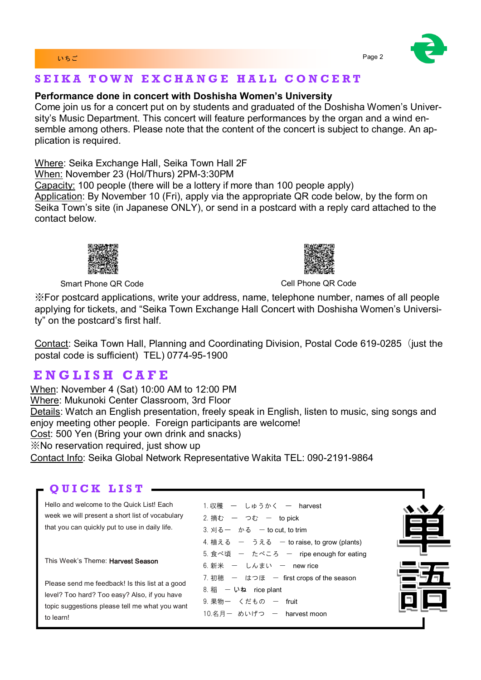#### いちご Page 2 とのこと Page 2 とのこと こうしょうかい こうしょうかい Page 2

## S E I K A TOWN EXCHANGE HALL CONCERT

### **Performance done in concert with Doshisha Women's University**

Come join us for a concert put on by students and graduated of the Doshisha Women's University's Music Department. This concert will feature performances by the organ and a wind ensemble among others. Please note that the content of the concert is subject to change. An application is required.

Where: Seika Exchange Hall, Seika Town Hall 2F When: November 23 (Hol/Thurs) 2PM-3:30PM Capacity: 100 people (there will be a lottery if more than 100 people apply) Application: By November 10 (Fri), apply via the appropriate QR code below, by the form on Seika Town's site (in Japanese ONLY), or send in a postcard with a reply card attached to the contact below.



Smart Phone QR Code Cell Phone QR Code Cell Phone QR Code

※For postcard applications, write your address, name, telephone number, names of all people applying for tickets, and "Seika Town Exchange Hall Concert with Doshisha Women's University" on the postcard's first half.

Contact: Seika Town Hall, Planning and Coordinating Division, Postal Code 619-0285 (just the postal code is sufficient) TEL) 0774-95-1900

## **E N G L I S H C A F E**

When: November 4 (Sat) 10:00 AM to 12:00 PM Where: Mukunoki Center Classroom, 3rd Floor Details: Watch an English presentation, freely speak in English, listen to music, sing songs and enjoy meeting other people. Foreign participants are welcome! Cost: 500 Yen (Bring your own drink and snacks) ※No reservation required, just show up Contact Info: Seika Global Network Representative Wakita TEL: 090-2191-9864

## **QUICK LIST.**

Hello and welcome to the Quick List! Each week we will present a short list of vocabulary that you can quickly put to use in daily life.

This Week's Theme: Harvest Season

Please send me feedback! Is this list at a good level? Too hard? Too easy? Also, if you have topic suggestions please tell me what you want to learn!

| 1.収穫 ー しゅうかく ー harvest                    |
|-------------------------------------------|
| 2. 摘む – つむ – to pick                      |
| 3. 刈るー かる – to cut. to trim               |
| 4. 植える ー うえる ー to raise, to grow (plants) |
| 5. 食べ頃 ー たべころ ー ripe enough for eating    |
| 6. 新米 - しんまい - new rice                   |
| 7. 初穂 一 はつほ 一 first crops of the season   |
| 8. 稲 一 いね rice plant                      |
| 9. 果物一 くだもの - fruit                       |
| 10.名月一 めいげつ ー harvest moon                |



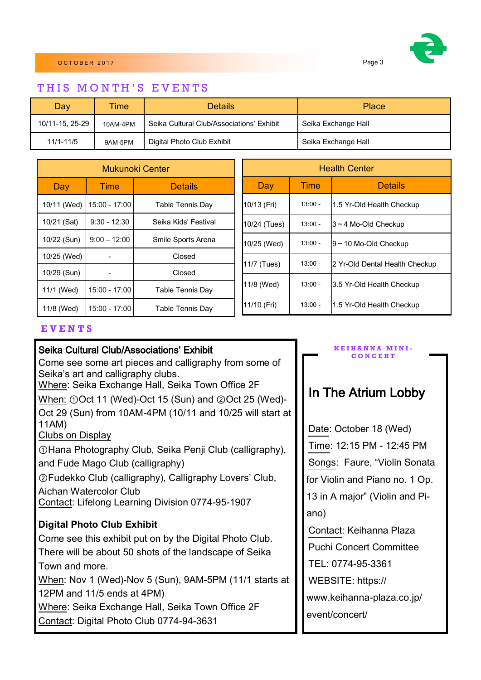

### THIS MONTH'S EVENTS

| Day             | <b>Time</b> | <b>Details</b>                            | Place               |
|-----------------|-------------|-------------------------------------------|---------------------|
| 10/11-15, 25-29 | 10AM-4PM    | Seika Cultural Club/Associations' Exhibit | Seika Exchange Hall |
| 11/1-11/5       | 9AM-5PM     | Digital Photo Club Exhibit                | Seika Exchange Hall |

| Mukunoki Center |                          |                      | <b>Health Center</b> |           |                                |
|-----------------|--------------------------|----------------------|----------------------|-----------|--------------------------------|
| Day             | Time                     | <b>Details</b>       | Day                  | Time      | <b>Details</b>                 |
| 10/11 (Wed)     | 15:00 - 17:00            | Table Tennis Day     | 10/13 (Fri)          | $13:00 -$ | 1.5 Yr-Old Health Checkup      |
| 10/21 (Sat)     | $9:30 - 12:30$           | Seika Kids' Festival | 10/24 (Tues)         | $13:00 -$ | $3 \sim 4$ Mo-Old Checkup      |
| 10/22 (Sun)     | $9:00 - 12:00$           | Smile Sports Arena   | 10/25 (Wed)          | $13:00 -$ | $9 - 10$ Mo-Old Checkup        |
| 10/25 (Wed)     |                          | Closed               | 11/7 (Tues)          | $13:00 -$ | 2 Yr-Old Dental Health Checkup |
| 10/29 (Sun)     | $\overline{\phantom{a}}$ | Closed               |                      |           |                                |
| 11/1 (Wed)      | 15:00 - 17:00            | Table Tennis Day     | 11/8 (Wed)           | $13:00 -$ | 3.5 Yr-Old Health Checkup      |
| 11/8 (Wed)      | $15:00 - 17:00$          | Table Tennis Day     | 11/10 (Fri)          | $13:00 -$ | 1.5 Yr-Old Health Checkup      |

#### **E V E N T S**

### Seika Cultural Club/Associations' Exhibit

Come see some art pieces and calligraphy from some of Seika's art and calligraphy clubs.

Where: Seika Exchange Hall, Seika Town Office 2F

When: ①Oct 11 (Wed)-Oct 15 (Sun) and ②Oct 25 (Wed)- Oct 29 (Sun) from 10AM-4PM (10/11 and 10/25 will start at 11AM)

#### Clubs on Display

①Hana Photography Club, Seika Penji Club (calligraphy), and Fude Mago Club (calligraphy)

②Fudekko Club (calligraphy), Calligraphy Lovers' Club, Aichan Watercolor Club

Contact: Lifelong Learning Division 0774-95-1907

### **Digital Photo Club Exhibit**

Come see this exhibit put on by the Digital Photo Club. There will be about 50 shots of the landscape of Seika Town and more.

When: Nov 1 (Wed)-Nov 5 (Sun), 9AM-5PM (11/1 starts at 12PM and 11/5 ends at 4PM)

Where: Seika Exchange Hall, Seika Town Office 2F Contact: Digital Photo Club 0774-94-3631

#### **K E I H A N N A M I N I - C O N C E R T**

## In The Atrium Lobby

Date: October 18 (Wed) Time: 12:15 PM - 12:45 PM Songs: Faure, "Violin Sonata for Violin and Piano no. 1 Op. 13 in A major" (Violin and Piano) Contact: Keihanna Plaza Puchi Concert Committee

TEL: 0774-95-3361

WEBSITE: https://

www.keihanna-plaza.co.jp/

event/concert/